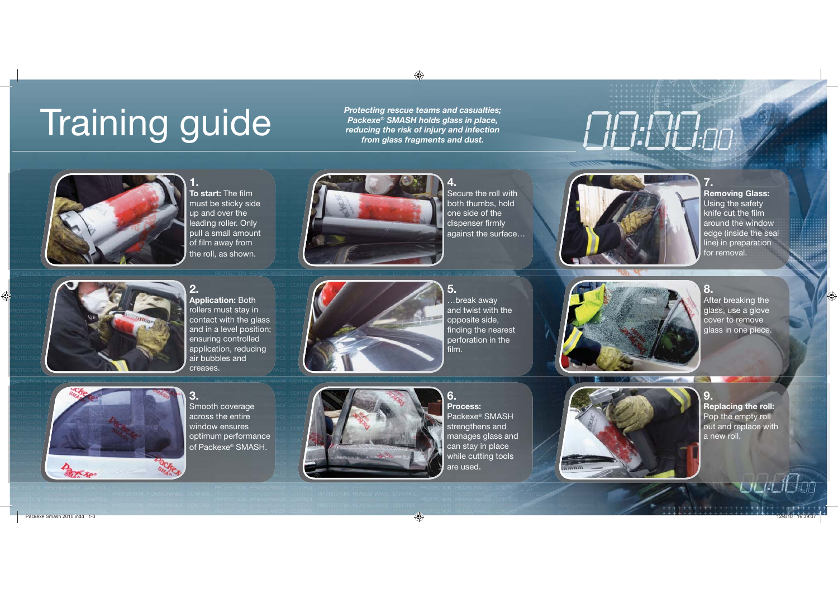# Training guide

*Protecting rescue teams and casualties; Packexe® SMASH holds glass in place, reducing the risk of injury and infection from glass fragments and dust.*

# <u> EILI:LILI:00</u>



**1.To start:** The film must be sticky side up and over the leading roller. Only pull a small amount of film away from the roll, as shown.



**4.**Secure the roll with both thumbs, hold one side of the dispenser firmly against the surface…



**Removing Glass:**  Using the safety knife cut the film around the window edge (inside the seal line) in preparation for removal.

**7.**



**2. Application:** Both rollers must stay in contact with the glass and in a level position; ensuring controlled application, reducing air bubbles and creases.



**5.**…break away and twist with the opposite side, finding the nearest perforation in the film.



**8.**After breaking the glass, use a glove cover to remove glass in one piece.



Smooth coverage across the entire window ensures optimum performance of Packexe® SMASH.



**Process:** Packexe® SMASH strengthens and manages glass and can stay in place while cutting tools are used.

**6.**



**9.Replacing the roll:** Pop the empty roll out and replace with a new roll.

łлn